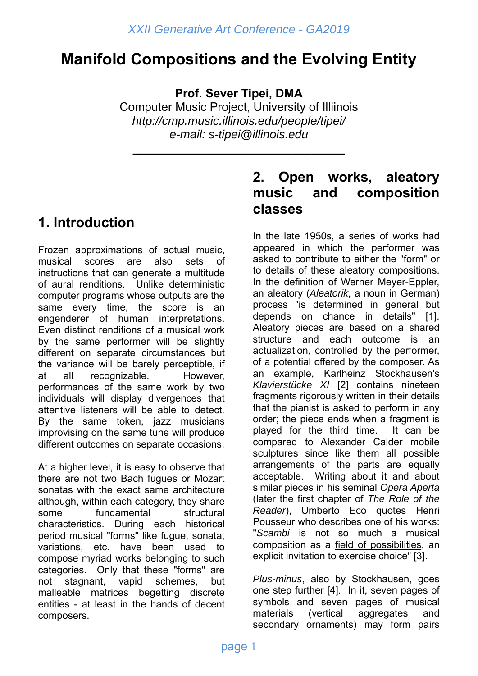# **Manifold Compositions and the Evolving Entity**

**Prof. Sever Tipei, DMA**

Computer Music Project, University of Illiinois *http://cmp.music.illinois.edu/people/tipei/ e-mail: s-tipei@illinois.edu*

**\_\_\_\_\_\_\_\_\_\_\_\_\_\_\_\_\_\_\_\_\_\_\_\_\_\_\_\_\_\_\_\_** 

# **1. Introduction**

Frozen approximations of actual music, musical scores are also sets of instructions that can generate a multitude of aural renditions. Unlike deterministic computer programs whose outputs are the same every time, the score is an engenderer of human interpretations. Even distinct renditions of a musical work by the same performer will be slightly different on separate circumstances but the variance will be barely perceptible, if at all recognizable. However, performances of the same work by two individuals will display divergences that attentive listeners will be able to detect. By the same token, jazz musicians improvising on the same tune will produce different outcomes on separate occasions.

At a higher level, it is easy to observe that there are not two Bach fugues or Mozart sonatas with the exact same architecture although, within each category, they share some fundamental structural characteristics. During each historical period musical "forms" like fugue, sonata, variations, etc. have been used to compose myriad works belonging to such categories. Only that these "forms" are not stagnant, vapid schemes, but malleable matrices begetting discrete entities - at least in the hands of decent composers.

## **2. Open works, aleatory music and composition classes**

In the late 1950s, a series of works had appeared in which the performer was asked to contribute to either the "form" or to details of these aleatory compositions. In the definition of Werner Meyer-Eppler, an aleatory (*Aleatorik*, a noun in German) process "is determined in general but depends on chance in details" [1]. Aleatory pieces are based on a shared structure and each outcome is an actualization, controlled by the performer, of a potential offered by the composer. As an example, Karlheinz Stockhausen's *Klavierstücke XI* [2] contains nineteen fragments rigorously written in their details that the pianist is asked to perform in any order; the piece ends when a fragment is played for the third time. It can be compared to Alexander Calder mobile sculptures since like them all possible arrangements of the parts are equally acceptable. Writing about it and about similar pieces in his seminal *Opera Aperta* (later the first chapter of *The Role of the Reader*), Umberto Eco quotes Henri Pousseur who describes one of his works: "*Scambi* is not so much a musical composition as a field of possibilities, an explicit invitation to exercise choice" [3].

*Plus-minus*, also by Stockhausen, goes one step further [4]. In it, seven pages of symbols and seven pages of musical materials (vertical aggregates and secondary ornaments) may form pairs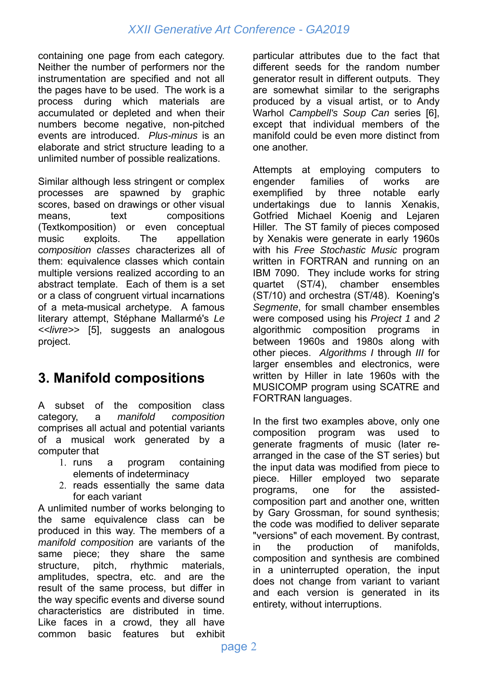containing one page from each category. Neither the number of performers nor the instrumentation are specified and not all the pages have to be used. The work is a process during which materials are accumulated or depleted and when their numbers become negative, non-pitched events are introduced. *Plus-minus* is an elaborate and strict structure leading to a unlimited number of possible realizations.

Similar although less stringent or complex processes are spawned by graphic scores, based on drawings or other visual means. text compositions (Textkomposition) or even conceptual music exploits. The appellation c*omposition classes* characterizes all of them: equivalence classes which contain multiple versions realized according to an abstract template. Each of them is a set or a class of congruent virtual incarnations of a meta-musical archetype. A famous literary attempt, Stéphane Mallarmé's *Le <<livre>>* [5], suggests an analogous project.

# **3. Manifold compositions**

A subset of the composition class category, a *manifold composition* comprises all actual and potential variants of a musical work generated by a computer that

- 1. runs a program containing elements of indeterminacy
- 2. reads essentially the same data for each variant

A unlimited number of works belonging to the same equivalence class can be produced in this way. The members of a *manifold composition* are variants of the same piece; they share the same structure, pitch, rhythmic materials, amplitudes, spectra, etc. and are the result of the same process, but differ in the way specific events and diverse sound characteristics are distributed in time. Like faces in a crowd, they all have common basic features but exhibit

particular attributes due to the fact that different seeds for the random number generator result in different outputs. They are somewhat similar to the serigraphs produced by a visual artist, or to Andy Warhol *Campbell's Soup Can* series [6], except that individual members of the manifold could be even more distinct from one another.

Attempts at employing computers to engender families of works are exemplified by three notable early undertakings due to Iannis Xenakis, Gotfried Michael Koenig and Lejaren Hiller. The ST family of pieces composed by Xenakis were generate in early 1960s with his *Free Stochastic Music* program written in FORTRAN and running on an IBM 7090. They include works for string<br>quartet (ST/4), chamber ensembles chamber ensembles (ST/10) and orchestra (ST/48). Koening's *Segmente*, for small chamber ensembles were composed using his *Project 1* and *2* algorithmic composition programs in between 1960s and 1980s along with other pieces. *Algorithms I* through *III* for larger ensembles and electronics, were written by Hiller in late 1960s with the MUSICOMP program using SCATRE and FORTRAN languages.

In the first two examples above, only one composition program was used to generate fragments of music (later rearranged in the case of the ST series) but the input data was modified from piece to piece. Hiller employed two separate programs, one for the assistedcomposition part and another one, written by Gary Grossman, for sound synthesis; the code was modified to deliver separate "versions" of each movement. By contrast, in the production of manifolds, composition and synthesis are combined in a uninterrupted operation, the input does not change from variant to variant and each version is generated in its entirety, without interruptions.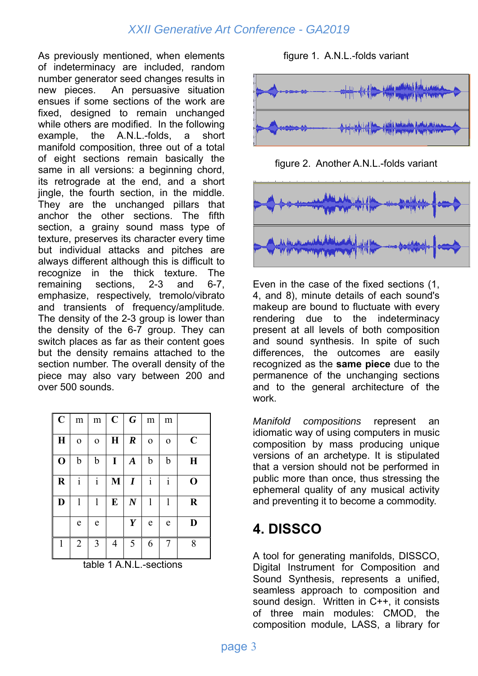As previously mentioned, when elements of indeterminacy are included, random number generator seed changes results in new pieces. An persuasive situation ensues if some sections of the work are fixed, designed to remain unchanged while others are modified. In the following example, the A.N.L.-folds, a short manifold composition, three out of a total of eight sections remain basically the same in all versions: a beginning chord, its retrograde at the end, and a short jingle, the fourth section, in the middle. They are the unchanged pillars that anchor the other sections. The fifth section, a grainy sound mass type of texture, preserves its character every time but individual attacks and pitches are always different although this is difficult to recognize in the thick texture. The remaining sections, 2-3 and 6-7, emphasize, respectively, tremolo/vibrato and transients of frequency/amplitude. The density of the 2-3 group is lower than the density of the 6-7 group. They can switch places as far as their content goes but the density remains attached to the section number. The overall density of the piece may also vary between 200 and over 500 sounds.

| $\ $<br>$\overline{C}$ | m              | m            | $\mathbf C$  | $\boldsymbol{G}$ | m            | m              |             |
|------------------------|----------------|--------------|--------------|------------------|--------------|----------------|-------------|
| $\bf H$                | $\overline{O}$ | $\mathbf{o}$ | $\bf H$      | $\boldsymbol{R}$ | $\mathbf 0$  | $\overline{O}$ | $\mathbf C$ |
| $\mathbf 0$            | $\mathbf b$    | $\mathbf b$  | I            | $\boldsymbol{A}$ | $\mathbf b$  | b              | $\bf H$     |
| $\bf R$                | $\mathbf{i}$   | $\mathbf{i}$ | $\mathbf{M}$ | $\boldsymbol{I}$ | $\mathbf{i}$ | $\mathbf{i}$   | $\mathbf 0$ |
| D                      | 1              | 1            | $\bf{E}$     | $\boldsymbol{N}$ | 1            | 1              | $\bf R$     |
|                        | e              | e            |              | Y                | e            | e              | D           |
| $\mathbf{1}$           | $\overline{2}$ | 3            | 4            | 5                | 6            | 7              | 8           |

table 1 A.N.L.-sections

#### figure 1. A.N.L.-folds variant



figure 2. Another A.N.L.-folds variant



Even in the case of the fixed sections (1, 4, and 8), minute details of each sound's makeup are bound to fluctuate with every rendering due to the indeterminacy present at all levels of both composition and sound synthesis. In spite of such differences, the outcomes are easily recognized as the **same piece** due to the permanence of the unchanging sections and to the general architecture of the work.

*Manifold compositions* represent an idiomatic way of using computers in music composition by mass producing unique versions of an archetype. It is stipulated that a version should not be performed in public more than once, thus stressing the ephemeral quality of any musical activity and preventing it to become a commodity.

## **4. DISSCO**

A tool for generating manifolds, DISSCO, Digital Instrument for Composition and Sound Synthesis, represents a unified, seamless approach to composition and sound design. Written in C++, it consists of three main modules: CMOD, the composition module, LASS, a library for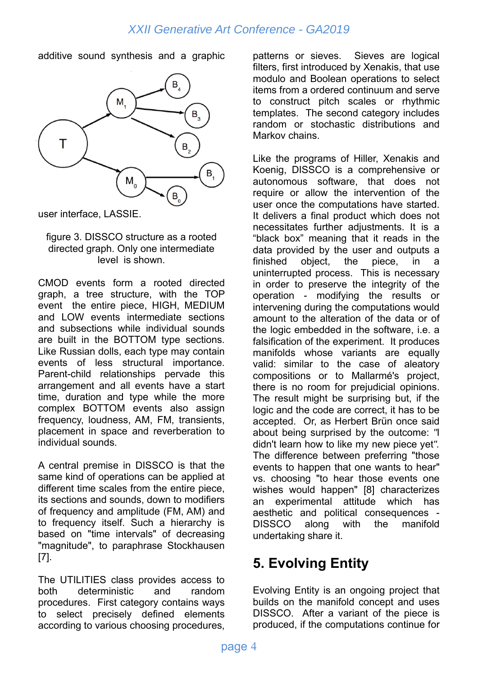additive sound synthesis and a graphic



user interface, LASSIE.

#### figure 3. DISSCO structure as a rooted directed graph. Only one intermediate level is shown.

CMOD events form a rooted directed graph, a tree structure, with the TOP event the entire piece, HIGH, MEDIUM and LOW events intermediate sections and subsections while individual sounds are built in the BOTTOM type sections. Like Russian dolls, each type may contain events of less structural importance. Parent-child relationships pervade this arrangement and all events have a start time, duration and type while the more complex BOTTOM events also assign frequency, loudness, AM, FM, transients, placement in space and reverberation to individual sounds.

A central premise in DISSCO is that the same kind of operations can be applied at different time scales from the entire piece, its sections and sounds, down to modifiers of frequency and amplitude (FM, AM) and to frequency itself. Such a hierarchy is based on "time intervals" of decreasing "magnitude", to paraphrase Stockhausen [7].

The UTILITIES class provides access to both deterministic and random procedures. First category contains ways to select precisely defined elements according to various choosing procedures,

patterns or sieves. Sieves are logical filters, first introduced by Xenakis, that use modulo and Boolean operations to select items from a ordered continuum and serve to construct pitch scales or rhythmic templates. The second category includes random or stochastic distributions and Markov chains.

Like the programs of Hiller, Xenakis and Koenig, DISSCO is a comprehensive or autonomous software, that does not require or allow the intervention of the user once the computations have started. It delivers a final product which does not necessitates further adjustments. It is a "black box" meaning that it reads in the data provided by the user and outputs a finished object, the piece, in a uninterrupted process. This is necessary in order to preserve the integrity of the operation - modifying the results or intervening during the computations would amount to the alteration of the data or of the logic embedded in the software, i.e. a falsification of the experiment. It produces manifolds whose variants are equally valid: similar to the case of aleatory compositions or to Mallarmé's project, there is no room for prejudicial opinions. The result might be surprising but, if the logic and the code are correct, it has to be accepted. Or, as Herbert Brün once said about being surprised by the outcome: *"*I didn't learn how to like my new piece yet*".*  The difference between preferring "those events to happen that one wants to hear" vs. choosing "to hear those events one wishes would happen" [8] characterizes an experimental attitude which has aesthetic and political consequences - DISSCO along with the manifold undertaking share it.

# **5. Evolving Entity**

Evolving Entity is an ongoing project that builds on the manifold concept and uses DISSCO. After a variant of the piece is produced, if the computations continue for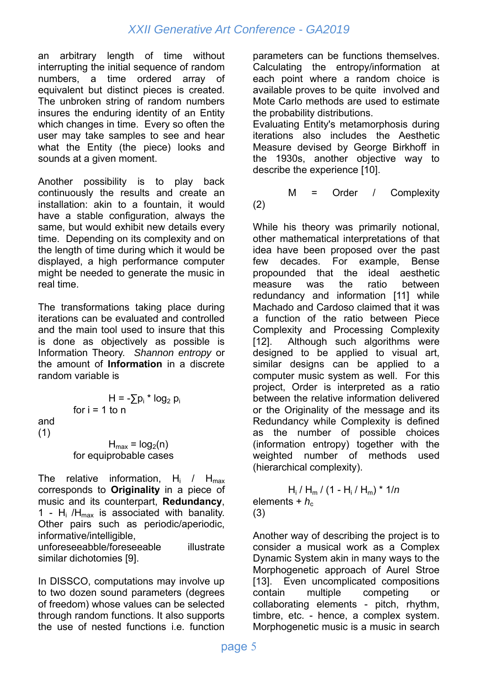an arbitrary length of time without interrupting the initial sequence of random numbers, a time ordered array of equivalent but distinct pieces is created. The unbroken string of random numbers insures the enduring identity of an Entity which changes in time. Every so often the user may take samples to see and hear what the Entity (the piece) looks and sounds at a given moment.

Another possibility is to play back continuously the results and create an installation: akin to a fountain, it would have a stable configuration, always the same, but would exhibit new details every time. Depending on its complexity and on the length of time during which it would be displayed, a high performance computer might be needed to generate the music in real time.

The transformations taking place during iterations can be evaluated and controlled and the main tool used to insure that this is done as objectively as possible is Information Theory. *Shannon entropy* or the amount of **Information** in a discrete random variable is

$$
H = -\sum p_i * log_2 p_i
$$
  
for i = 1 to n  
and  
(1)  

$$
H_{max} = log_2(n)
$$
  
for equiprobable cases

(1)

The relative information,  $H_i$  /  $H_{\text{max}}$ corresponds to **Originality** in a piece of music and its counterpart, **Redundancy**, 1 - H<sub>i</sub> /H<sub>max</sub> is associated with banality. Other pairs such as periodic/aperiodic, informative/intelligible, unforeseeabble/foreseeable illustrate similar dichotomies [9].

In DISSCO, computations may involve up to two dozen sound parameters (degrees of freedom) whose values can be selected through random functions. It also supports the use of nested functions i.e. function

parameters can be functions themselves. Calculating the entropy/information at each point where a random choice is available proves to be quite involved and Mote Carlo methods are used to estimate the probability distributions.

Evaluating Entity's metamorphosis during iterations also includes the Aesthetic Measure devised by George Birkhoff in the 1930s, another objective way to describe the experience [10].

 M = Order / Complexity (2)

While his theory was primarily notional, other mathematical interpretations of that idea have been proposed over the past few decades. For example, Bense propounded that the ideal aesthetic measure was the ratio between redundancy and information [11] while Machado and Cardoso claimed that it was a function of the ratio between Piece Complexity and Processing Complexity [12]. Although such algorithms were designed to be applied to visual art, similar designs can be applied to a computer music system as well. For this project, Order is interpreted as a ratio between the relative information delivered or the Originality of the message and its Redundancy while Complexity is defined as the number of possible choices (information entropy) together with the weighted number of methods used (hierarchical complexity).

 Hi / Hm / (1 - Hi / Hm) \* 1/*n* elements +  $h_c$ (3)

Another way of describing the project is to consider a musical work as a Complex Dynamic System akin in many ways to the Morphogenetic approach of Aurel Stroe [13]. Even uncomplicated compositions contain multiple competing or collaborating elements - pitch, rhythm, timbre, etc. - hence, a complex system. Morphogenetic music is a music in search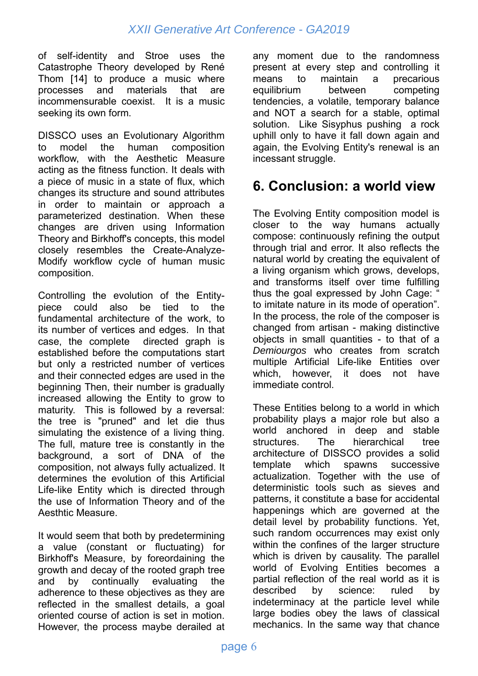of self-identity and Stroe uses the Catastrophe Theory developed by René Thom [14] to produce a music where processes and materials that are incommensurable coexist. It is a music seeking its own form.

DISSCO uses an Evolutionary Algorithm to model the human composition workflow, with the Aesthetic Measure acting as the fitness function. It deals with a piece of music in a state of flux, which changes its structure and sound attributes in order to maintain or approach a parameterized destination. When these changes are driven using Information Theory and Birkhoff's concepts, this model closely resembles the Create-Analyze-Modify workflow cycle of human music composition.

Controlling the evolution of the Entitypiece could also be tied to the fundamental architecture of the work, to its number of vertices and edges. In that case, the complete directed graph is established before the computations start but only a restricted number of vertices and their connected edges are used in the beginning Then, their number is gradually increased allowing the Entity to grow to maturity. This is followed by a reversal: the tree is "pruned" and let die thus simulating the existence of a living thing. The full, mature tree is constantly in the background, a sort of DNA of the composition, not always fully actualized. It determines the evolution of this Artificial Life-like Entity which is directed through the use of Information Theory and of the Aesthtic Measure.

It would seem that both by predetermining a value (constant or fluctuating) for Birkhoff's Measure, by foreordaining the growth and decay of the rooted graph tree and by continually evaluating the adherence to these objectives as they are reflected in the smallest details, a goal oriented course of action is set in motion. However, the process maybe derailed at any moment due to the randomness present at every step and controlling it means to maintain a precarious equilibrium between competing tendencies, a volatile, temporary balance and NOT a search for a stable, optimal solution. Like Sisyphus pushing a rock uphill only to have it fall down again and again, the Evolving Entity's renewal is an incessant struggle.

## **6. Conclusion: a world view**

The Evolving Entity composition model is closer to the way humans actually compose: continuously refining the output through trial and error. It also reflects the natural world by creating the equivalent of a living organism which grows, develops, and transforms itself over time fulfilling thus the goal expressed by John Cage: " to imitate nature in its mode of operation". In the process, the role of the composer is changed from artisan - making distinctive objects in small quantities - to that of a *Demiourgos* who creates from scratch multiple Artificial Life-like Entities over which, however, it does not have immediate control.

These Entities belong to a world in which probability plays a major role but also a world anchored in deep and stable structures. The hierarchical tree architecture of DISSCO provides a solid template which spawns successive actualization. Together with the use of deterministic tools such as sieves and patterns, it constitute a base for accidental happenings which are governed at the detail level by probability functions. Yet, such random occurrences may exist only within the confines of the larger structure which is driven by causality. The parallel world of Evolving Entities becomes a partial reflection of the real world as it is described by science: ruled by indeterminacy at the particle level while large bodies obey the laws of classical mechanics. In the same way that chance